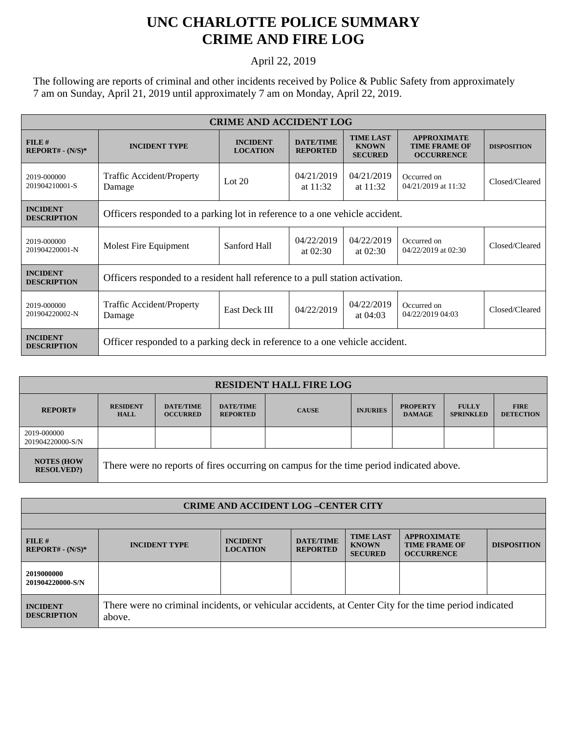## **UNC CHARLOTTE POLICE SUMMARY CRIME AND FIRE LOG**

## April 22, 2019

The following are reports of criminal and other incidents received by Police & Public Safety from approximately 7 am on Sunday, April 21, 2019 until approximately 7 am on Monday, April 22, 2019.

| <b>CRIME AND ACCIDENT LOG</b>         |                                                                               |                                    |                                     |                                                    |                                                                 |                    |  |
|---------------------------------------|-------------------------------------------------------------------------------|------------------------------------|-------------------------------------|----------------------------------------------------|-----------------------------------------------------------------|--------------------|--|
| FILE#<br>$REPORT# - (N/S)*$           | <b>INCIDENT TYPE</b>                                                          | <b>INCIDENT</b><br><b>LOCATION</b> | <b>DATE/TIME</b><br><b>REPORTED</b> | <b>TIME LAST</b><br><b>KNOWN</b><br><b>SECURED</b> | <b>APPROXIMATE</b><br><b>TIME FRAME OF</b><br><b>OCCURRENCE</b> | <b>DISPOSITION</b> |  |
| 2019-000000<br>201904210001-S         | <b>Traffic Accident/Property</b><br>Damage                                    | Lot $20$                           | 04/21/2019<br>at $11:32$            | 04/21/2019<br>at $11:32$                           | Occurred on<br>04/21/2019 at 11:32                              | Closed/Cleared     |  |
| <b>INCIDENT</b><br><b>DESCRIPTION</b> | Officers responded to a parking lot in reference to a one vehicle accident.   |                                    |                                     |                                                    |                                                                 |                    |  |
| 2019-000000<br>201904220001-N         | Molest Fire Equipment                                                         | Sanford Hall                       | 04/22/2019<br>at $02:30$            | 04/22/2019<br>at $02:30$                           | Occurred on<br>04/22/2019 at 02:30                              | Closed/Cleared     |  |
| <b>INCIDENT</b><br><b>DESCRIPTION</b> | Officers responded to a resident hall reference to a pull station activation. |                                    |                                     |                                                    |                                                                 |                    |  |
| 2019-000000<br>201904220002-N         | <b>Traffic Accident/Property</b><br>Damage                                    | East Deck III                      | 04/22/2019                          | 04/22/2019<br>at $04:03$                           | Occurred on<br>04/22/2019 04:03                                 | Closed/Cleared     |  |
| <b>INCIDENT</b><br><b>DESCRIPTION</b> | Officer responded to a parking deck in reference to a one vehicle accident.   |                                    |                                     |                                                    |                                                                 |                    |  |

| <b>RESIDENT HALL FIRE LOG</b>         |                                                                                         |                                     |                                     |              |                 |                                  |                                  |                                 |
|---------------------------------------|-----------------------------------------------------------------------------------------|-------------------------------------|-------------------------------------|--------------|-----------------|----------------------------------|----------------------------------|---------------------------------|
| <b>REPORT#</b>                        | <b>RESIDENT</b><br><b>HALL</b>                                                          | <b>DATE/TIME</b><br><b>OCCURRED</b> | <b>DATE/TIME</b><br><b>REPORTED</b> | <b>CAUSE</b> | <b>INJURIES</b> | <b>PROPERTY</b><br><b>DAMAGE</b> | <b>FULLY</b><br><b>SPRINKLED</b> | <b>FIRE</b><br><b>DETECTION</b> |
| 2019-000000<br>201904220000-S/N       |                                                                                         |                                     |                                     |              |                 |                                  |                                  |                                 |
| <b>NOTES (HOW</b><br><b>RESOLVED?</b> | There were no reports of fires occurring on campus for the time period indicated above. |                                     |                                     |              |                 |                                  |                                  |                                 |

| <b>CRIME AND ACCIDENT LOG-CENTER CITY</b> |                                                                                                                  |                                    |                                     |                                                    |                                                                 |                    |  |
|-------------------------------------------|------------------------------------------------------------------------------------------------------------------|------------------------------------|-------------------------------------|----------------------------------------------------|-----------------------------------------------------------------|--------------------|--|
|                                           |                                                                                                                  |                                    |                                     |                                                    |                                                                 |                    |  |
| FILE#<br>$REPORT# - (N/S)*$               | <b>INCIDENT TYPE</b>                                                                                             | <b>INCIDENT</b><br><b>LOCATION</b> | <b>DATE/TIME</b><br><b>REPORTED</b> | <b>TIME LAST</b><br><b>KNOWN</b><br><b>SECURED</b> | <b>APPROXIMATE</b><br><b>TIME FRAME OF</b><br><b>OCCURRENCE</b> | <b>DISPOSITION</b> |  |
| 2019000000<br>201904220000-S/N            |                                                                                                                  |                                    |                                     |                                                    |                                                                 |                    |  |
| <b>INCIDENT</b><br><b>DESCRIPTION</b>     | There were no criminal incidents, or vehicular accidents, at Center City for the time period indicated<br>above. |                                    |                                     |                                                    |                                                                 |                    |  |